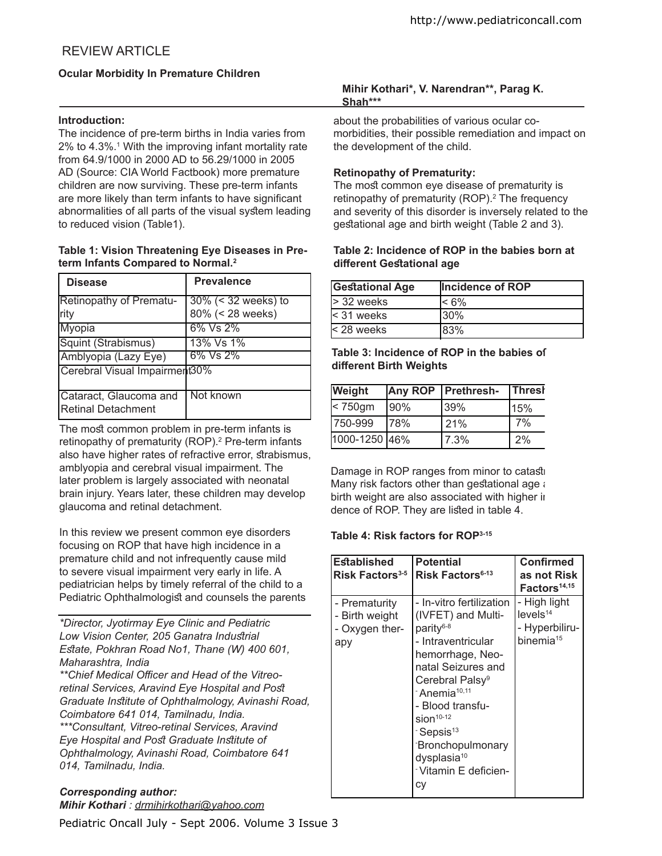# REVIEW ARTICLE

# **Ocular Morbidity In Premature Children**

#### **Introduction:**

The incidence of pre-term births in India varies from 2% to 4.3%.<sup>1</sup> With the improving infant mortality rate from 64.9/1000 in 2000 AD to 56.29/1000 in 2005 AD (Source: CIA World Factbook) more premature children are now surviving. These pre-term infants are more likely than term infants to have significant abnormalities of all parts of the visual sytem leading to reduced vision (Table1).

#### **Table 1: Vision Threatening Eye Diseases in Preterm Infants Compared to Normal.<sup>2</sup>**

| <b>Disease</b>                                      | <b>Prevalence</b>                          |
|-----------------------------------------------------|--------------------------------------------|
| <b>Retinopathy of Prematu-</b><br>lrity             | $30\%$ (< 32 weeks) to<br>80% (< 28 weeks) |
| <b>Myopia</b>                                       | 6% Vs 2%                                   |
| Squint (Strabismus)                                 | 13% Vs 1%                                  |
| Amblyopia (Lazy Eye)                                | 6% Vs 2%                                   |
| Cerebral Visual Impairment30%                       |                                            |
| Cataract, Glaucoma and<br><b>Retinal Detachment</b> | Not known                                  |

The most common problem in pre-term infants is retinopathy of prematurity (ROP).<sup>2</sup> Pre-term infants also have higher rates of refractive error, strabismus, amblyopia and cerebral visual impairment. The later problem is largely associated with neonatal brain injury. Years later, these children may develop glaucoma and retinal detachment.

In this review we present common eye disorders focusing on ROP that have high incidence in a premature child and not infrequently cause mild to severe visual impairment very early in life. A pediatrician helps by timely referral of the child to a Pediatric Ophthalmologist and counsels the parents

*\*Director, Jyotirmay Eye Clinic and Pediatric Low Vision Center, 205 Ganatra Indutrial Etate, Pokhran Road No1, Thane (W) 400 601, Maharashtra, India* 

\*\*Chief Medical Officer and Head of the Vitreo*retinal Services, Aravind Eye Hospital and Pot Graduate Intitute of Ophthalmology, Avinashi Road, Coimbatore 641 014, Tamilnadu, India.*

*\*\*\*Consultant, Vitreo-retinal Services, Aravind*  **Eye Hospital and Post Graduate Institute of** *Ophthalmology, Avinashi Road, Coimbatore 641 014, Tamilnadu, India.* 

# *Corresponding author: Mihir Kothari : drmihirkothari@yahoo.com*

Pediatric Oncall July - Sept 2006. Volume 3 Issue 3

#### **Mihir Kothari\*, V. Narendran\*\*, Parag K. Shah\*\*\***

about the probabilities of various ocular comorbidities, their possible remediation and impact on the development of the child.

# **Retinopathy of Prematurity:**

The most common eye disease of prematurity is retinopathy of prematurity (ROP).<sup>2</sup> The frequency and severity of this disorder is inversely related to the gestational age and birth weight (Table 2 and 3).

#### **Table 2: Incidence of ROP in the babies born at diferent Getational age**

| <b>Gestational Age</b> | Incidence of ROP |
|------------------------|------------------|
| $>$ 32 weeks           | $< 6\%$          |
| < 31 weeks             | l30%             |
| < 28 weeks             | 83%              |

# **Table 3: Incidence of ROP in the babies of diferent Birth Weights**

| Weight        |     | <b>Any ROP   Prethresh-</b> | Thresh |
|---------------|-----|-----------------------------|--------|
| $<$ 750gm     | 90% | 139%                        | 15%    |
| 750-999       | 78% | 21%                         | 7%     |
| 1000-1250 46% |     | 7.3%                        | 2%     |

Damage in ROP ranges from minor to catast Many risk factors other than gestational age  $\imath$ birth weight are also associated with higher in dence of ROP. They are listed in table 4.

# **Table 4: Risk factors for ROP3-15**

| <b>Established</b><br><b>Risk Factors</b> <sup>3-5</sup> | <b>Potential</b><br>Risk Factors <sup>6-13</sup>                                                                                                                                                                                                                                                                                                              | <b>Confirmed</b><br>as not Risk<br>Factors <sup>14,15</sup>                     |
|----------------------------------------------------------|---------------------------------------------------------------------------------------------------------------------------------------------------------------------------------------------------------------------------------------------------------------------------------------------------------------------------------------------------------------|---------------------------------------------------------------------------------|
| - Prematurity<br>- Birth weight<br>- Oxygen ther-<br>apy | - In-vitro fertilization<br>(IVFET) and Multi-<br>parity <sup>6-8</sup><br>- Intraventricular<br>hemorrhage, Neo-<br>natal Seizures and<br>Cerebral Palsy <sup>9</sup><br><sup>-</sup> Anemia <sup>10,11</sup><br>- Blood transfu-<br>$sion10-12$<br>-Sepsis <sup>13</sup><br><b>Bronchopulmonary</b><br>dysplasia <sup>10</sup><br>Vitamin E deficien-<br>сy | - High light<br>levels <sup>14</sup><br>- Hyperbiliru-<br>binemia <sup>15</sup> |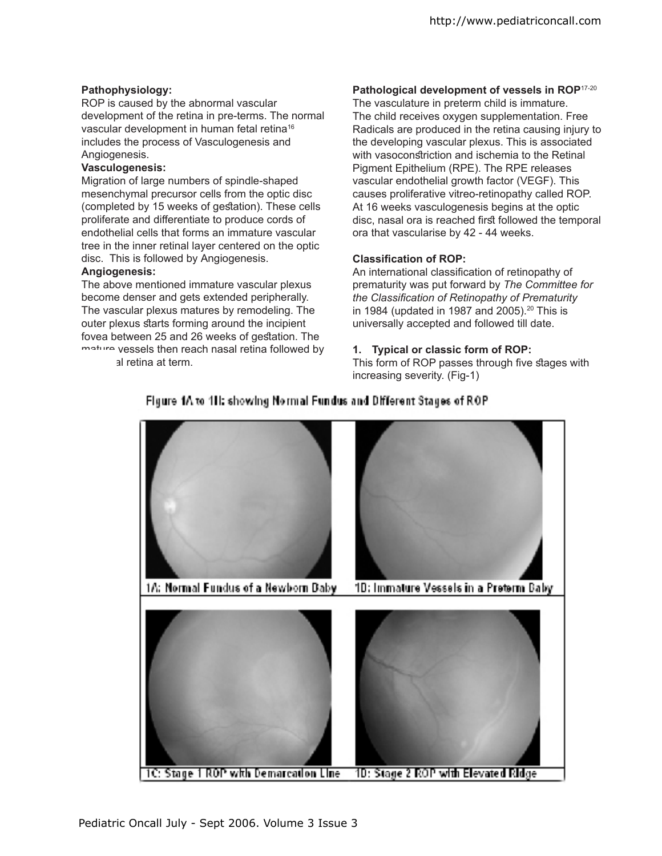#### **Pathophysiology:**

ROP is caused by the abnormal vascular development of the retina in pre-terms. The normal vascular development in human fetal retina<sup>16</sup> includes the process of Vasculogenesis and Angiogenesis.

#### **Vasculogenesis:**

Migration of large numbers of spindle-shaped mesenchymal precursor cells from the optic disc (completed by 15 weeks of gestation). These cells proliferate and diferentiate to produce cords of endothelial cells that forms an immature vascular tree in the inner retinal layer centered on the optic disc. This is followed by Angiogenesis.

#### **Angiogenesis:**

The above mentioned immature vascular plexus become denser and gets extended peripherally. The vascular plexus matures by remodeling. The outer plexus starts forming around the incipient fovea between 25 and 26 weeks of gestation. The mature vessels then reach nasal retina followed by

al retina at term.

# **Pathological development of vessels in ROP**17-20

The vasculature in preterm child is immature. The child receives oxygen supplementation. Free Radicals are produced in the retina causing injury to the developing vascular plexus. This is associated with vasoconstriction and ischemia to the Retinal Pigment Epithelium (RPE). The RPE releases vascular endothelial growth factor (VEGF). This causes proliferative vitreo-retinopathy called ROP. At 16 weeks vasculogenesis begins at the optic disc, nasal ora is reached first followed the temporal ora that vascularise by 42 - 44 weeks.

#### **Classiication of ROP:**

An international classification of retinopathy of prematurity was put forward by *The Committee for the Classiication of Retinopathy of Prematurity*  in 1984 (updated in 1987 and 2005). $20$  This is universally accepted and followed till date.

#### **1. Typical or classic form of ROP:**

This form of ROP passes through five stages with increasing severity. (Fig-1)



# Figure 1A to 1H: showing Normal Fundus and Different Stages of ROP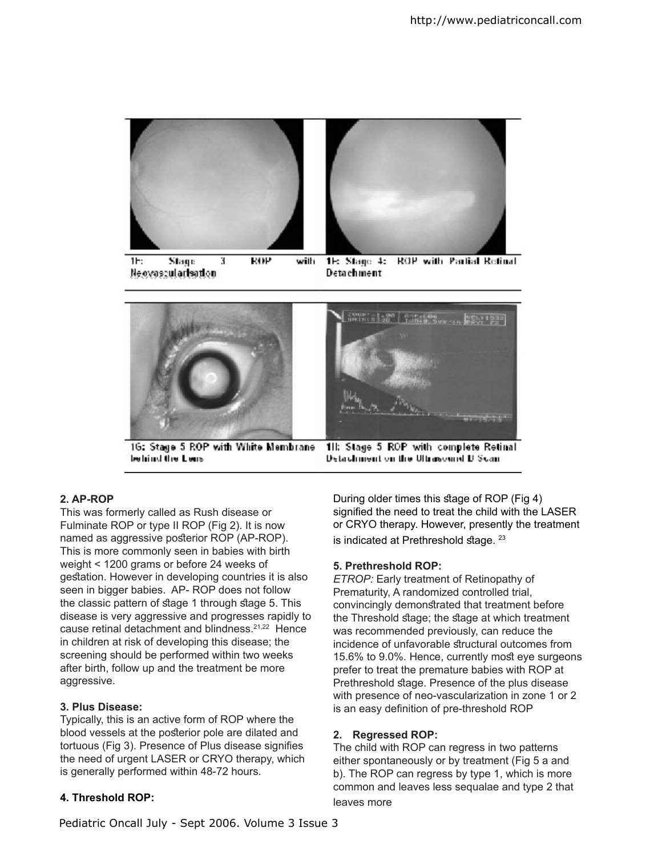

 $1<sub>1</sub>$ Stage 3 **ROP** with 1E: Stage 4: **ROP with Partial Retinal** Newvoscularisation Detachment



behind the Lens

**Detailment on the Ultrasound B Scan-**

# **2. AP-ROP**

This was formerly called as Rush disease or Fulminate ROP or type II ROP (Fig 2). It is now named as aggressive posterior ROP (AP-ROP). This is more commonly seen in babies with birth weight < 1200 grams or before 24 weeks of gestation. However in developing countries it is also seen in bigger babies. AP- ROP does not follow the classic pattern of stage 1 through stage 5. This disease is very aggressive and progresses rapidly to cause retinal detachment and blindness.21,22 Hence in children at risk of developing this disease; the screening should be performed within two weeks after birth, follow up and the treatment be more aggressive.

# **3. Plus Disease:**

Typically, this is an active form of ROP where the blood vessels at the posterior pole are dilated and tortuous (Fig 3). Presence of Plus disease signifies the need of urgent LASER or CRYO therapy, which is generally performed within 48-72 hours.

# **4. Threshold ROP:**

During older times this stage of ROP (Fig 4) signified the need to treat the child with the LASER or CRYO therapy. However, presently the treatment is indicated at Prethreshold stage.  $23$ 

# **5. Prethreshold ROP:**

*ETROP:* Early treatment of Retinopathy of Prematurity, A randomized controlled trial, convincingly demonstrated that treatment before the Threshold stage; the stage at which treatment was recommended previously, can reduce the incidence of unfavorable structural outcomes from 15.6% to 9.0%. Hence, currently most eye surgeons prefer to treat the premature babies with ROP at Prethreshold stage. Presence of the plus disease with presence of neo-vascularization in zone 1 or 2 is an easy definition of pre-threshold ROP

# **2. Regressed ROP:**

The child with ROP can regress in two patterns either spontaneously or by treatment (Fig 5 a and b). The ROP can regress by type 1, which is more common and leaves less sequalae and type 2 that leaves more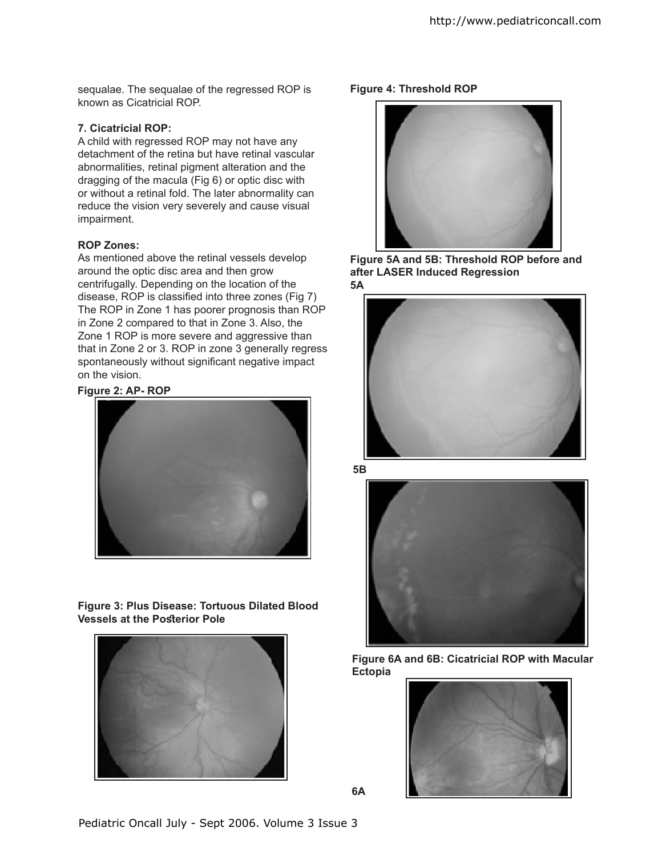sequalae. The sequalae of the regressed ROP is known as Cicatricial ROP.

#### **7. Cicatricial ROP:**

A child with regressed ROP may not have any detachment of the retina but have retinal vascular abnormalities, retinal pigment alteration and the dragging of the macula (Fig 6) or optic disc with or without a retinal fold. The later abnormality can reduce the vision very severely and cause visual impairment.

#### **ROP Zones:**

As mentioned above the retinal vessels develop around the optic disc area and then grow centrifugally. Depending on the location of the disease, ROP is classified into three zones (Fig 7) The ROP in Zone 1 has poorer prognosis than ROP in Zone 2 compared to that in Zone 3. Also, the Zone 1 ROP is more severe and aggressive than that in Zone 2 or 3. ROP in zone 3 generally regress spontaneously without significant negative impact on the vision.

#### **Figure 2: AP- ROP**



**Figure 3: Plus Disease: Tortuous Dilated Blood Vessels at the Posterior Pole** 



#### **Figure 4: Threshold ROP**



**Figure 5A and 5B: Threshold ROP before and after LASER Induced Regression 5A**



**5B**



**Figure 6A and 6B: Cicatricial ROP with Macular Ectopia** 



**6A**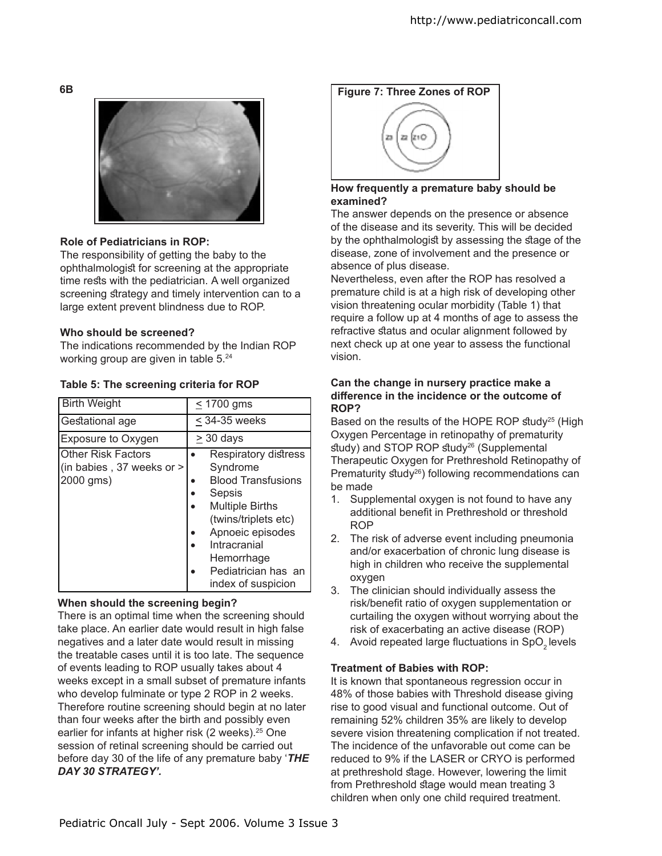

# **Role of Pediatricians in ROP:**

The responsibility of getting the baby to the ophthalmologist for screening at the appropriate time rests with the pediatrician. A well organized screening strategy and timely intervention can to a large extent prevent blindness due to ROP.

# **Who should be screened?**

The indications recommended by the Indian ROP working group are given in table 5.<sup>24</sup>

| Table 5: The screening criteria for ROP |  |  |
|-----------------------------------------|--|--|
|-----------------------------------------|--|--|

| <b>Birth Weight</b>                                                 | $\leq$ 1700 gms                                                                                                                                                                                                          |
|---------------------------------------------------------------------|--------------------------------------------------------------------------------------------------------------------------------------------------------------------------------------------------------------------------|
| Gestational age                                                     | $\leq$ 34-35 weeks                                                                                                                                                                                                       |
| Exposure to Oxygen                                                  | $\geq$ 30 days                                                                                                                                                                                                           |
| <b>Other Risk Factors</b><br>(in babies, 37 weeks or ><br>2000 gms) | Respiratory distress<br>Syndrome<br><b>Blood Transfusions</b><br>Sepsis<br><b>Multiple Births</b><br>(twins/triplets etc)<br>Apnoeic episodes<br>Intracranial<br>Hemorrhage<br>Pediatrician has an<br>index of suspicion |

# **When should the screening begin?**

There is an optimal time when the screening should take place. An earlier date would result in high false negatives and a later date would result in missing the treatable cases until it is too late. The sequence of events leading to ROP usually takes about 4 weeks except in a small subset of premature infants who develop fulminate or type 2 ROP in 2 weeks. Therefore routine screening should begin at no later than four weeks after the birth and possibly even earlier for infants at higher risk (2 weeks).<sup>25</sup> One session of retinal screening should be carried out before day 30 of the life of any premature baby '*THE DAY 30 STRATEGY'.*



# **How frequently a premature baby should be examined?**

The answer depends on the presence or absence of the disease and its severity. This will be decided by the ophthalmologist by assessing the stage of the disease, zone of involvement and the presence or absence of plus disease.

Nevertheless, even after the ROP has resolved a premature child is at a high risk of developing other vision threatening ocular morbidity (Table 1) that require a follow up at 4 months of age to assess the refractive status and ocular alignment followed by next check up at one year to assess the functional vision.

#### **Can the change in nursery practice make a diference in the incidence or the outcome of ROP?**

Based on the results of the HOPE ROP study<sup>25</sup> (High Oxygen Percentage in retinopathy of prematurity  $study)$  and STOP ROP  $study^{26}$  (Supplemental Therapeutic Oxygen for Prethreshold Retinopathy of Prematurity study<sup>26</sup>) following recommendations can be made

- 1. Supplemental oxygen is not found to have any additional benefit in Prethreshold or threshold ROP
- 2. The risk of adverse event including pneumonia and/or exacerbation of chronic lung disease is high in children who receive the supplemental oxygen
- 3. The clinician should individually assess the risk/benefit ratio of oxygen supplementation or curtailing the oxygen without worrying about the risk of exacerbating an active disease (ROP)
- 4. Avoid repeated large fluctuations in SpO<sub>2</sub> levels

# **Treatment of Babies with ROP:**

It is known that spontaneous regression occur in 48% of those babies with Threshold disease giving rise to good visual and functional outcome. Out of remaining 52% children 35% are likely to develop severe vision threatening complication if not treated. The incidence of the unfavorable out come can be reduced to 9% if the LASER or CRYO is performed at prethreshold stage. However, lowering the limit from Prethreshold stage would mean treating 3 children when only one child required treatment.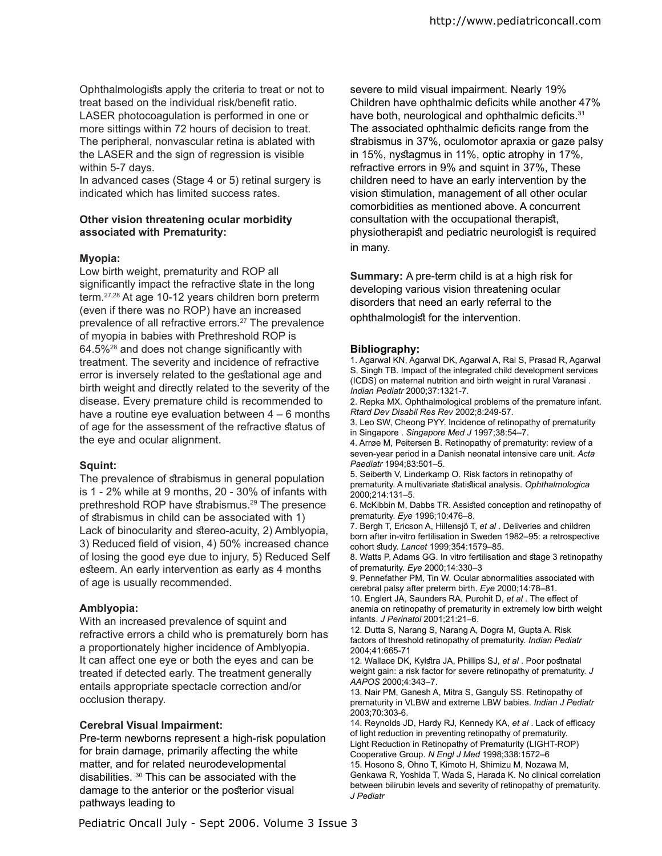Ophthalmologists apply the criteria to treat or not to treat based on the individual risk/benefit ratio. LASER photocoagulation is performed in one or more sittings within 72 hours of decision to treat. The peripheral, nonvascular retina is ablated with the LASER and the sign of regression is visible within 5-7 days.

In advanced cases (Stage 4 or 5) retinal surgery is indicated which has limited success rates.

#### **Other vision threatening ocular morbidity associated with Prematurity:**

#### **Myopia:**

Low birth weight, prematurity and ROP all significantly impact the refractive state in the long term.27,28 At age 10-12 years children born preterm (even if there was no ROP) have an increased prevalence of all refractive errors.<sup>27</sup> The prevalence of myopia in babies with Prethreshold ROP is  $64.5\%$ <sup>28</sup> and does not change significantly with treatment. The severity and incidence of refractive error is inversely related to the gestational age and birth weight and directly related to the severity of the disease. Every premature child is recommended to have a routine eye evaluation between 4 – 6 months of age for the assessment of the refractive status of the eye and ocular alignment.

# **Squint:**

The prevalence of strabismus in general population is 1 - 2% while at 9 months, 20 - 30% of infants with prethreshold ROP have strabismus.<sup>29</sup> The presence of strabismus in child can be associated with 1) Lack of binocularity and stereo-acuity, 2) Amblyopia, 3) Reduced field of vision, 4) 50% increased chance of losing the good eye due to injury, 5) Reduced Self esteem. An early intervention as early as 4 months of age is usually recommended.

# **Amblyopia:**

With an increased prevalence of squint and refractive errors a child who is prematurely born has a proportionately higher incidence of Amblyopia. It can afect one eye or both the eyes and can be treated if detected early. The treatment generally entails appropriate spectacle correction and/or occlusion therapy.

# **Cerebral Visual Impairment:**

Pre-term newborns represent a high-risk population for brain damage, primarily affecting the white matter, and for related neurodevelopmental disabilities. <sup>30</sup> This can be associated with the damage to the anterior or the posterior visual pathways leading to

severe to mild visual impairment. Nearly 19% Children have ophthalmic deficits while another 47% have both, neurological and ophthalmic deficits.<sup>31</sup> The associated ophthalmic deficits range from the trabismus in 37%, oculomotor apraxia or gaze palsy in 15%, nystagmus in 11%, optic atrophy in 17%, refractive errors in 9% and squint in 37%, These children need to have an early intervention by the vision timulation, management of all other ocular comorbidities as mentioned above. A concurrent consultation with the occupational therapist, physiotherapist and pediatric neurologist is required in many.

**Summary:** A pre-term child is at a high risk for developing various vision threatening ocular disorders that need an early referral to the ophthalmologist for the intervention.

#### **Bibliography:**

1. Agarwal KN, Agarwal DK, Agarwal A, Rai S, Prasad R, Agarwal S, Singh TB. Impact of the integrated child development services (ICDS) on maternal nutrition and birth weight in rural Varanasi . *Indian Pediatr* 2000;37:1321-7.

2. Repka MX. Ophthalmological problems of the premature infant. *Rtard Dev Disabil Res Rev* 2002;8:249-57.

3. Leo SW, Cheong PYY. Incidence of retinopathy of prematurity in Singapore . *Singapore Med J* 1997;38:54–7.

4. Arrøe M, Peitersen B. Retinopathy of prematurity: review of a seven-year period in a Danish neonatal intensive care unit. *Acta Paediatr* 1994;83:501–5.

5. Seiberth V, Linderkamp O. Risk factors in retinopathy of prematurity. A multivariate statistical analysis. Ophthalmologica 2000;214:131–5.

6. McKibbin M, Dabbs TR. Assited conception and retinopathy of prematurity. *Eye* 1996;10:476–8.

7. Bergh T, Ericson A, Hillensjö T, *et al* . Deliveries and children born after in-vitro fertilisation in Sweden 1982–95: a retrospective cohort tudy. *Lancet* 1999;354:1579–85.

8. Watts P, Adams GG. In vitro fertilisation and stage 3 retinopathy of prematurity. *Eye* 2000;14:330–3

9. Pennefather PM, Tin W. Ocular abnormalities associated with cerebral palsy after preterm birth. *Eye* 2000;14:78–81. 10. Englert JA, Saunders RA, Purohit D, *et al* . The efect of

anemia on retinopathy of prematurity in extremely low birth weight infants. *J Perinatol* 2001;21:21–6.

12. Dutta S, Narang S, Narang A, Dogra M, Gupta A. Risk factors of threshold retinopathy of prematurity. *Indian Pediatr*  2004;41:665-71

12. Wallace DK, Kylstra JA, Phillips SJ, et al . Poor postnatal weight gain: a risk factor for severe retinopathy of prematurity. *J AAPOS* 2000;4:343–7.

13. Nair PM, Ganesh A, Mitra S, Ganguly SS. Retinopathy of prematurity in VLBW and extreme LBW babies. *Indian J Pediatr*  2003;70:303-6.

14. Reynolds JD, Hardy RJ, Kennedy KA, et al . Lack of efficacy of light reduction in preventing retinopathy of prematurity. Light Reduction in Retinopathy of Prematurity (LIGHT-ROP) Cooperative Group. *N Engl J Med* 1998;338:1572–6

15. Hosono S, Ohno T, Kimoto H, Shimizu M, Nozawa M, Genkawa R, Yoshida T, Wada S, Harada K. No clinical correlation between bilirubin levels and severity of retinopathy of prematurity. *J Pediatr*